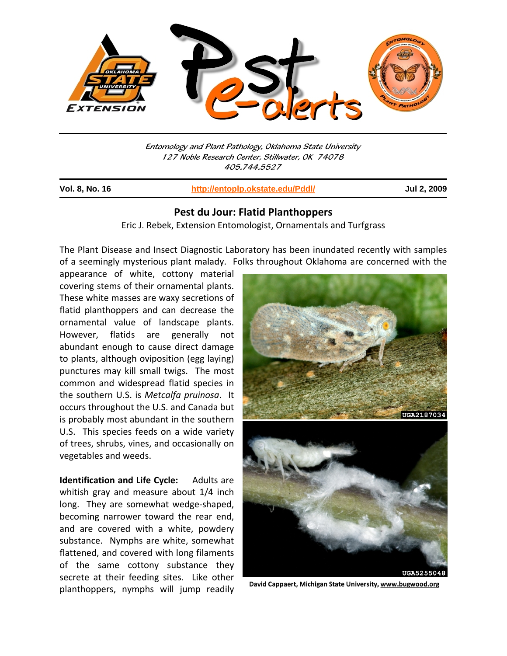

Entomology and Plant Pathology, Oklahoma State University 127 Noble Research Center, Stillwater, OK 74078 405.744.5527

j

**Vol. 8, No. 16 http://entoplp.okstate.edu/Pddl/ Jul 2, 2009**

## **Pest du Jour: Flatid Planthoppers**

Eric J. Rebek, Extension Entomologist, Ornamentals and Turfgrass

The Plant Disease and Insect Diagnostic Laboratory has been inundated recently with samples of a seemingly mysterious plant malady. Folks throughout Oklahoma are concerned with the

appearance of white, cottony material covering stems of their ornamental plants. These white masses are waxy secretions of flatid planthoppers and can decrease the ornamental value of landscape plants. However, flatids are generally not abundant enough to cause direct damage to plants, although oviposition (egg laying) punctures may kill small twigs. The most common and widespread flatid species in the southern U.S. is *Metcalfa pruinosa*. It occurs throughout the U.S. and Canada but is probably most abundant in the southern U.S. This species feeds on a wide variety of trees, shrubs, vines, and occasionally on vegetables and weeds.

**Identification and Life Cycle:** Adults are whitish gray and measure about 1/4 inch long. They are somewhat wedge-shaped, becoming narrower toward the rear end, and are covered with a white, powdery substance. Nymphs are white, somewhat flattened, and covered with long filaments of the same cottony substance they secrete at their feeding sites. Like other planthoppers, nymphs will jump readily



David Cappaert, Michigan State University, www.bugwood.org